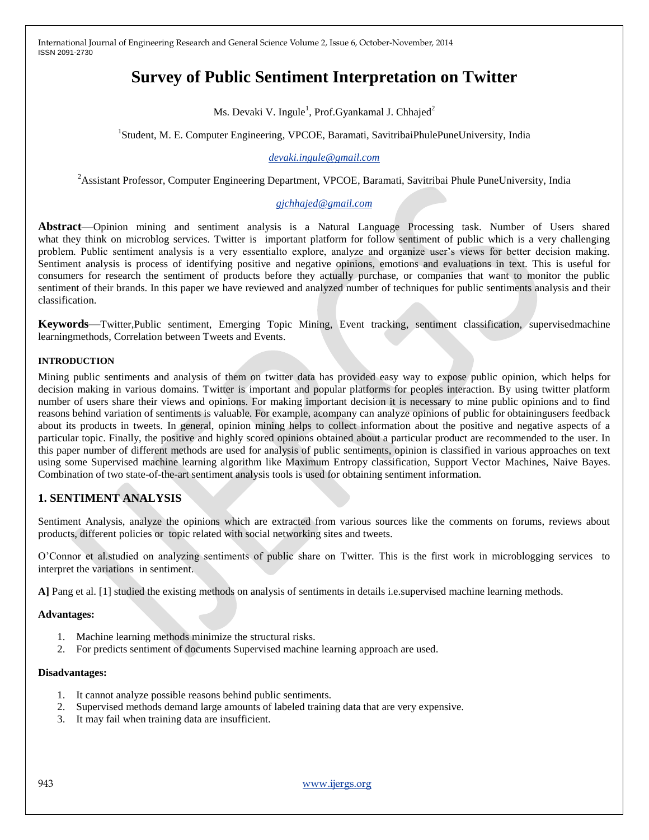# **Survey of Public Sentiment Interpretation on Twitter**

Ms. Devaki V. Ingule<sup>1</sup>, Prof.Gyankamal J. Chhajed<sup>2</sup>

<sup>1</sup>Student, M. E. Computer Engineering, VPCOE, Baramati, SavitribaiPhulePuneUniversity, India

## *[devaki.ingule@gmail.com](mailto:devaki.ingule@gmail.com)*

<sup>2</sup> Assistant Professor, Computer Engineering Department, VPCOE, Baramati, Savitribai Phule PuneUniversity, India

# *[gjchhajed@gmail.com](mailto:gjchhajed@gmail.com)*

**Abstract**—Opinion mining and sentiment analysis is a Natural Language Processing task. Number of Users shared what they think on microblog services. Twitter is important platform for follow sentiment of public which is a very challenging problem. Public sentiment analysis is a very essentialto explore, analyze and organize user's views for better decision making. Sentiment analysis is process of identifying positive and negative opinions, emotions and evaluations in text. This is useful for consumers for research the sentiment of products before they actually purchase, or companies that want to monitor the public sentiment of their brands. In this paper we have reviewed and analyzed number of techniques for public sentiments analysis and their classification.

**Keywords**—Twitter,Public sentiment, Emerging Topic Mining, Event tracking, sentiment classification, supervisedmachine learningmethods, Correlation between Tweets and Events.

#### **INTRODUCTION**

Mining public sentiments and analysis of them on twitter data has provided easy way to expose public opinion, which helps for decision making in various domains. Twitter is important and popular platforms for peoples interaction. By using twitter platform number of users share their views and opinions. For making important decision it is necessary to mine public opinions and to find reasons behind variation of sentiments is valuable. For example, acompany can analyze opinions of public for obtainingusers feedback about its products in tweets. In general, opinion mining helps to collect information about the positive and negative aspects of a particular topic. Finally, the positive and highly scored opinions obtained about a particular product are recommended to the user. In this paper number of different methods are used for analysis of public sentiments, opinion is classified in various approaches on text using some Supervised machine learning algorithm like Maximum Entropy classification, Support Vector Machines, Naive Bayes. Combination of two state-of-the-art sentiment analysis tools is used for obtaining sentiment information.

# **1. SENTIMENT ANALYSIS**

Sentiment Analysis, analyze the opinions which are extracted from various sources like the comments on forums, reviews about products, different policies or topic related with social networking sites and tweets.

O'Connor et al.studied on analyzing sentiments of public share on Twitter. This is the first work in microblogging services to interpret the variations in sentiment.

**A]** Pang et al. [1] studied the existing methods on analysis of sentiments in details i.e.supervised machine learning methods.

#### **Advantages:**

- 1. Machine learning methods minimize the structural risks.
- 2. For predicts sentiment of documents Supervised machine learning approach are used.

#### **Disadvantages:**

- 1. It cannot analyze possible reasons behind public sentiments.
- 2. Supervised methods demand large amounts of labeled training data that are very expensive.
- 3. It may fail when training data are insufficient.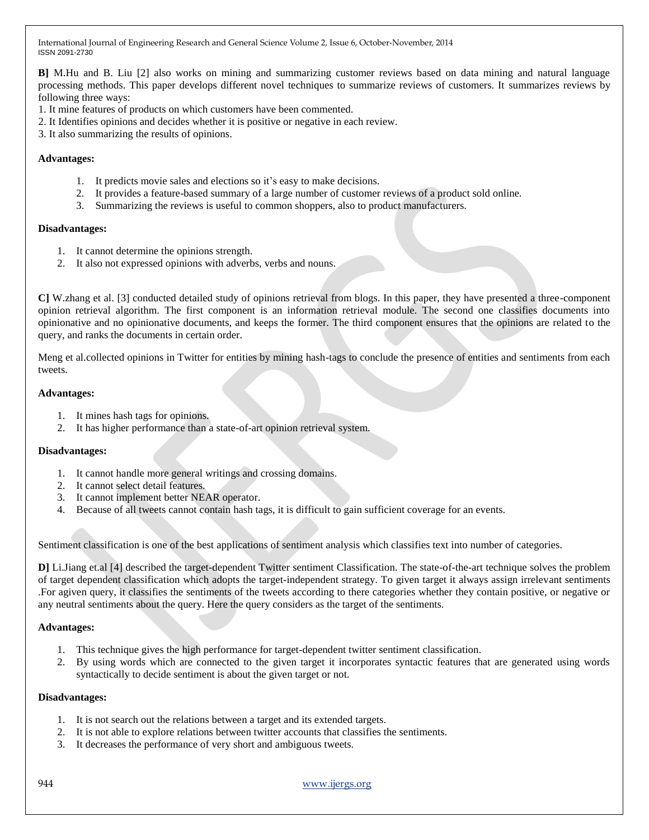**B]** M.Hu and B. Liu [2] also works on mining and summarizing customer reviews based on data mining and natural language processing methods. This paper develops different novel techniques to summarize reviews of customers. It summarizes reviews by following three ways:

- 1. It mine features of products on which customers have been commented.
- 2. It Identifies opinions and decides whether it is positive or negative in each review.
- 3. It also summarizing the results of opinions.

## **Advantages:**

- 1. It predicts movie sales and elections so it's easy to make decisions.
- 2. It provides a feature-based summary of a large number of customer reviews of a product sold online.
- 3. Summarizing the reviews is useful to common shoppers, also to product manufacturers.

#### **Disadvantages:**

- 1. It cannot determine the opinions strength.
- 2. It also not expressed opinions with adverbs, verbs and nouns.

**C]** W.zhang et al. [3] conducted detailed study of opinions retrieval from blogs. In this paper, they have presented a three-component opinion retrieval algorithm. The first component is an information retrieval module. The second one classifies documents into opinionative and no opinionative documents, and keeps the former. The third component ensures that the opinions are related to the query, and ranks the documents in certain order.

Meng et al.collected opinions in Twitter for entities by mining hash-tags to conclude the presence of entities and sentiments from each tweets.

## **Advantages:**

- 1. It mines hash tags for opinions.
- 2. It has higher performance than a state-of-art opinion retrieval system.

# **Disadvantages:**

- 1. It cannot handle more general writings and crossing domains.
- 2. It cannot select detail features.
- 3. It cannot implement better NEAR operator.
- 4. Because of all tweets cannot contain hash tags, it is difficult to gain sufficient coverage for an events.

Sentiment classification is one of the best applications of sentiment analysis which classifies text into number of categories.

**D]** Li.Jiang et.al [4] described the target-dependent Twitter sentiment Classification. The state-of-the-art technique solves the problem of target dependent classification which adopts the target-independent strategy. To given target it always assign irrelevant sentiments .For agiven query, it classifies the sentiments of the tweets according to there categories whether they contain positive, or negative or any neutral sentiments about the query. Here the query considers as the target of the sentiments.

# **Advantages:**

- 1. This technique gives the high performance for target-dependent twitter sentiment classification.
- 2. By using words which are connected to the given target it incorporates syntactic features that are generated using words syntactically to decide sentiment is about the given target or not.

#### **Disadvantages:**

- 1. It is not search out the relations between a target and its extended targets.
- 2. It is not able to explore relations between twitter accounts that classifies the sentiments.
- 3. It decreases the performance of very short and ambiguous tweets.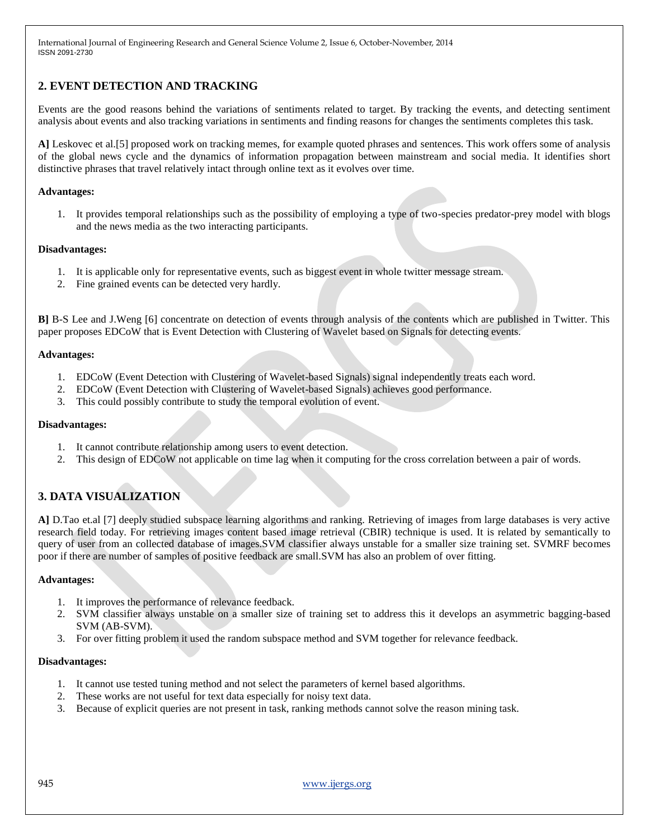# **2. EVENT DETECTION AND TRACKING**

Events are the good reasons behind the variations of sentiments related to target. By tracking the events, and detecting sentiment analysis about events and also tracking variations in sentiments and finding reasons for changes the sentiments completes this task.

**A]** Leskovec et al.[5] proposed work on tracking memes, for example quoted phrases and sentences. This work offers some of analysis of the global news cycle and the dynamics of information propagation between mainstream and social media. It identifies short distinctive phrases that travel relatively intact through online text as it evolves over time.

## **Advantages:**

1. It provides temporal relationships such as the possibility of employing a type of two-species predator-prey model with blogs and the news media as the two interacting participants.

#### **Disadvantages:**

- 1. It is applicable only for representative events, such as biggest event in whole twitter message stream.
- 2. Fine grained events can be detected very hardly.

**B]** B-S Lee and J.Weng [6] concentrate on detection of events through analysis of the contents which are published in Twitter. This paper proposes EDCoW that is Event Detection with Clustering of Wavelet based on Signals for detecting events.

## **Advantages:**

- 1. EDCoW (Event Detection with Clustering of Wavelet-based Signals) signal independently treats each word.
- 2. EDCoW (Event Detection with Clustering of Wavelet-based Signals) achieves good performance.
- 3. This could possibly contribute to study the temporal evolution of event.

#### **Disadvantages:**

- 1. It cannot contribute relationship among users to event detection.
- 2. This design of EDCoW not applicable on time lag when it computing for the cross correlation between a pair of words.

# **3. DATA VISUALIZATION**

**A]** D.Tao et.al [7] deeply studied subspace learning algorithms and ranking. Retrieving of images from large databases is very active research field today. For retrieving images content based image retrieval (CBIR) technique is used. It is related by semantically to query of user from an collected database of images.SVM classifier always unstable for a smaller size training set. SVMRF becomes poor if there are number of samples of positive feedback are small.SVM has also an problem of over fitting.

#### **Advantages:**

- 1. It improves the performance of relevance feedback.
- 2. SVM classifier always unstable on a smaller size of training set to address this it develops an asymmetric bagging-based SVM (AB-SVM).
- 3. For over fitting problem it used the random subspace method and SVM together for relevance feedback.

#### **Disadvantages:**

- 1. It cannot use tested tuning method and not select the parameters of kernel based algorithms.
- 2. These works are not useful for text data especially for noisy text data.
- 3. Because of explicit queries are not present in task, ranking methods cannot solve the reason mining task.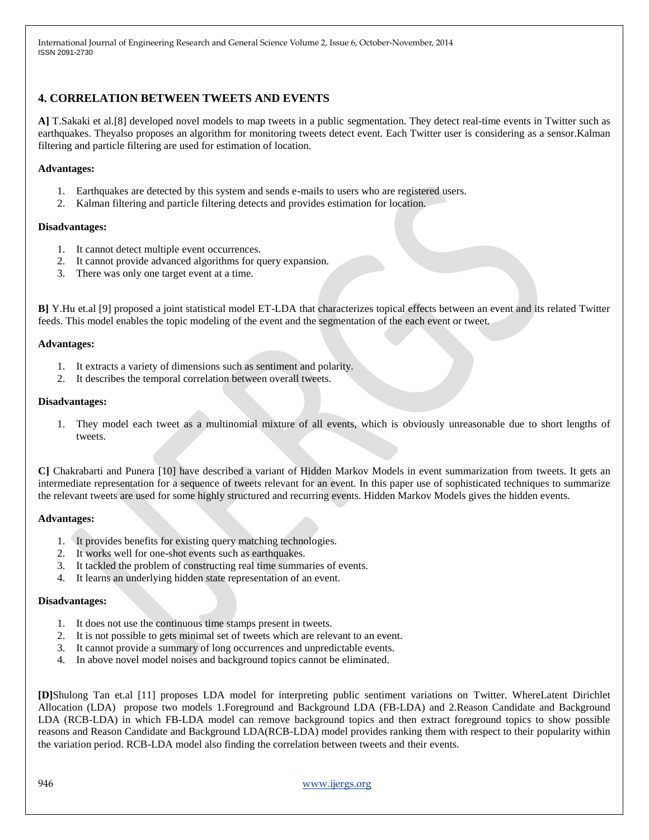# **4. CORRELATION BETWEEN TWEETS AND EVENTS**

**A]** T.Sakaki et al.[8] developed novel models to map tweets in a public segmentation. They detect real-time events in Twitter such as earthquakes. Theyalso proposes an algorithm for monitoring tweets detect event. Each Twitter user is considering as a sensor.Kalman filtering and particle filtering are used for estimation of location.

# **Advantages:**

- 1. Earthquakes are detected by this system and sends e-mails to users who are registered users.
- 2. Kalman filtering and particle filtering detects and provides estimation for location.

## **Disadvantages:**

- 1. It cannot detect multiple event occurrences.
- 2. It cannot provide advanced algorithms for query expansion.
- 3. There was only one target event at a time.

**B]** Y.Hu et.al [9] proposed a joint statistical model ET-LDA that characterizes topical effects between an event and its related Twitter feeds. This model enables the topic modeling of the event and the segmentation of the each event or tweet.

## **Advantages:**

- 1. It extracts a variety of dimensions such as sentiment and polarity.
- 2. It describes the temporal correlation between overall tweets.

## **Disadvantages:**

1. They model each tweet as a multinomial mixture of all events, which is obviously unreasonable due to short lengths of tweets.

**C]** Chakrabarti and Punera [10] have described a variant of Hidden Markov Models in event summarization from tweets. It gets an intermediate representation for a sequence of tweets relevant for an event. In this paper use of sophisticated techniques to summarize the relevant tweets are used for some highly structured and recurring events. Hidden Markov Models gives the hidden events.

# **Advantages:**

- 1. It provides benefits for existing query matching technologies.
- 2. It works well for one-shot events such as earthquakes.
- 3. It tackled the problem of constructing real time summaries of events.
- 4. It learns an underlying hidden state representation of an event.

#### **Disadvantages:**

- 1. It does not use the continuous time stamps present in tweets.
- 2. It is not possible to gets minimal set of tweets which are relevant to an event.
- 3. It cannot provide a summary of long occurrences and unpredictable events.
- 4. In above novel model noises and background topics cannot be eliminated.

**[D]**Shulong Tan et.al [11] proposes LDA model for interpreting public sentiment variations on Twitter. WhereLatent Dirichlet Allocation (LDA) propose two models 1.Foreground and Background LDA (FB-LDA) and 2.Reason Candidate and Background LDA (RCB-LDA) in which FB-LDA model can remove background topics and then extract foreground topics to show possible reasons and Reason Candidate and Background LDA(RCB-LDA) model provides ranking them with respect to their popularity within the variation period. RCB-LDA model also finding the correlation between tweets and their events.

946 www.ijergs.org